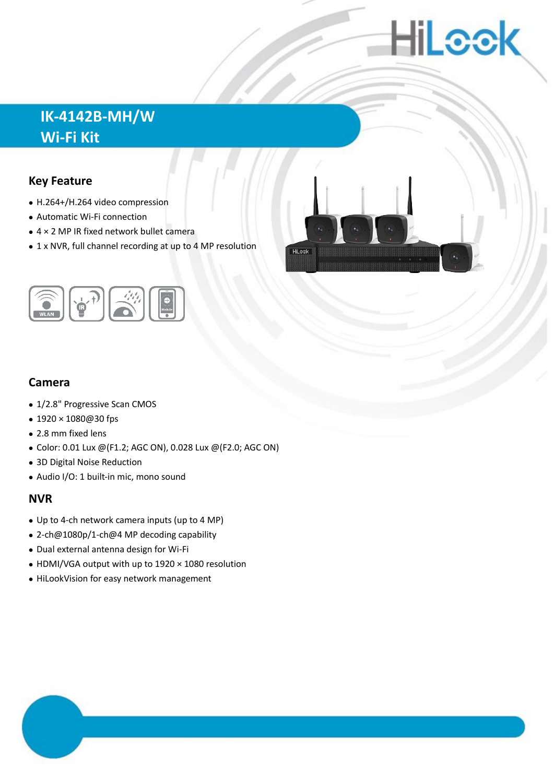# HiLeek

## **IK-4142B-MH/W Wi-Fi Kit**

#### **Key Feature**

- H.264+/H.264 video compression
- Automatic Wi-Fi connection
- 4 × 2 MP IR fixed network bullet camera
- 1 x NVR, full channel recording at up to 4 MP resolution

**HiLeek** 



#### **Camera**

- 1/2.8" Progressive Scan CMOS
- 1920 × 1080@30 fps
- 2.8 mm fixed lens
- Color: 0.01 Lux @(F1.2; AGC ON), 0.028 Lux @(F2.0; AGC ON)
- 3D Digital Noise Reduction
- Audio I/O: 1 built-in mic, mono sound

#### **NVR**

- Up to 4-ch network camera inputs (up to 4 MP)
- 2-ch@1080p/1-ch@4 MP decoding capability
- Dual external antenna design for Wi-Fi
- HDMI/VGA output with up to 1920 × 1080 resolution
- HiLookVision for easy network management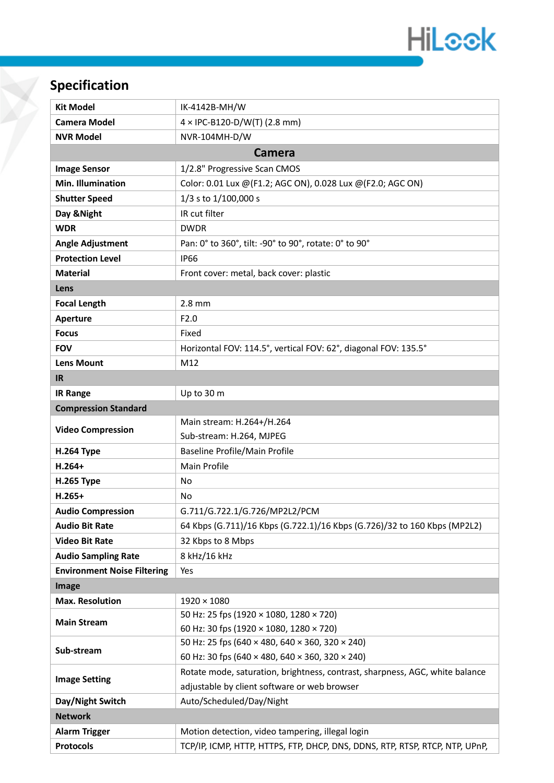

## **Specification**

| <b>Kit Model</b>                   | IK-4142B-MH/W                                                                              |  |  |  |  |
|------------------------------------|--------------------------------------------------------------------------------------------|--|--|--|--|
| <b>Camera Model</b>                | $4 \times$ IPC-B120-D/W(T) (2.8 mm)                                                        |  |  |  |  |
| <b>NVR Model</b>                   | NVR-104MH-D/W                                                                              |  |  |  |  |
| <b>Camera</b>                      |                                                                                            |  |  |  |  |
| <b>Image Sensor</b>                | 1/2.8" Progressive Scan CMOS                                                               |  |  |  |  |
| <b>Min. Illumination</b>           | Color: 0.01 Lux @(F1.2; AGC ON), 0.028 Lux @(F2.0; AGC ON)                                 |  |  |  |  |
| <b>Shutter Speed</b>               | 1/3 s to 1/100,000 s                                                                       |  |  |  |  |
| Day & Night                        | IR cut filter                                                                              |  |  |  |  |
| <b>WDR</b>                         | <b>DWDR</b>                                                                                |  |  |  |  |
| <b>Angle Adjustment</b>            | Pan: 0° to 360°, tilt: -90° to 90°, rotate: 0° to 90°                                      |  |  |  |  |
| <b>Protection Level</b>            | <b>IP66</b>                                                                                |  |  |  |  |
| <b>Material</b>                    | Front cover: metal, back cover: plastic                                                    |  |  |  |  |
| Lens                               |                                                                                            |  |  |  |  |
| <b>Focal Length</b>                | $2.8$ mm                                                                                   |  |  |  |  |
| Aperture                           | F <sub>2.0</sub>                                                                           |  |  |  |  |
| <b>Focus</b>                       | Fixed                                                                                      |  |  |  |  |
| <b>FOV</b>                         | Horizontal FOV: 114.5°, vertical FOV: 62°, diagonal FOV: 135.5°                            |  |  |  |  |
| <b>Lens Mount</b>                  | M12                                                                                        |  |  |  |  |
| IR                                 |                                                                                            |  |  |  |  |
| <b>IR Range</b>                    | Up to 30 m                                                                                 |  |  |  |  |
| <b>Compression Standard</b>        |                                                                                            |  |  |  |  |
| <b>Video Compression</b>           | Main stream: H.264+/H.264                                                                  |  |  |  |  |
|                                    | Sub-stream: H.264, MJPEG                                                                   |  |  |  |  |
| <b>H.264 Type</b>                  | Baseline Profile/Main Profile                                                              |  |  |  |  |
| $H.264+$                           | Main Profile                                                                               |  |  |  |  |
| <b>H.265 Type</b>                  | No                                                                                         |  |  |  |  |
| $H.265+$                           | No                                                                                         |  |  |  |  |
| <b>Audio Compression</b>           | G.711/G.722.1/G.726/MP2L2/PCM                                                              |  |  |  |  |
| <b>Audio Bit Rate</b>              | 64 Kbps (G.711)/16 Kbps (G.722.1)/16 Kbps (G.726)/32 to 160 Kbps (MP2L2)                   |  |  |  |  |
| <b>Video Bit Rate</b>              | 32 Kbps to 8 Mbps                                                                          |  |  |  |  |
| <b>Audio Sampling Rate</b>         | 8 kHz/16 kHz                                                                               |  |  |  |  |
| <b>Environment Noise Filtering</b> | Yes                                                                                        |  |  |  |  |
| Image                              |                                                                                            |  |  |  |  |
| <b>Max. Resolution</b>             | $1920 \times 1080$                                                                         |  |  |  |  |
| <b>Main Stream</b>                 | 50 Hz: 25 fps (1920 × 1080, 1280 × 720)                                                    |  |  |  |  |
|                                    | 60 Hz: 30 fps (1920 × 1080, 1280 × 720)<br>50 Hz: 25 fps (640 × 480, 640 × 360, 320 × 240) |  |  |  |  |
| Sub-stream                         | 60 Hz: 30 fps (640 × 480, 640 × 360, 320 × 240)                                            |  |  |  |  |
|                                    | Rotate mode, saturation, brightness, contrast, sharpness, AGC, white balance               |  |  |  |  |
| <b>Image Setting</b>               | adjustable by client software or web browser                                               |  |  |  |  |
| Day/Night Switch                   | Auto/Scheduled/Day/Night                                                                   |  |  |  |  |
| <b>Network</b>                     |                                                                                            |  |  |  |  |
| <b>Alarm Trigger</b>               | Motion detection, video tampering, illegal login                                           |  |  |  |  |
| <b>Protocols</b>                   | TCP/IP, ICMP, HTTP, HTTPS, FTP, DHCP, DNS, DDNS, RTP, RTSP, RTCP, NTP, UPnP,               |  |  |  |  |
|                                    |                                                                                            |  |  |  |  |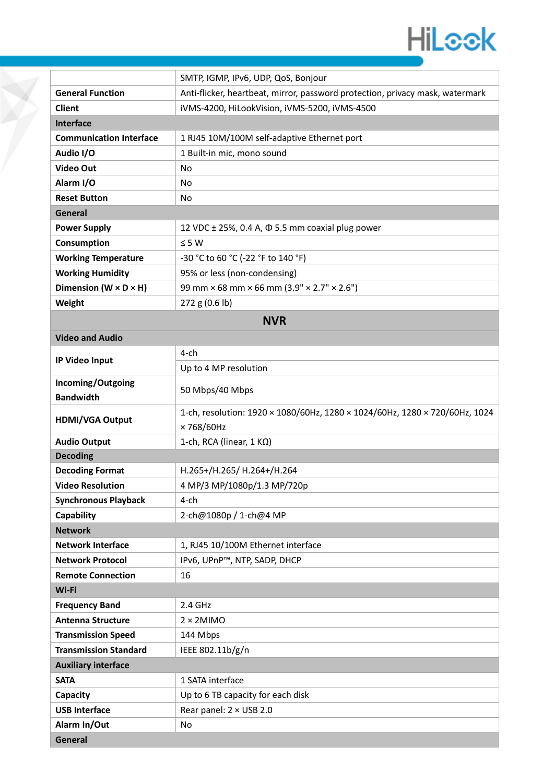

|                                     | SMTP, IGMP, IPv6, UDP, QoS, Bonjour                                           |  |  |  |
|-------------------------------------|-------------------------------------------------------------------------------|--|--|--|
| <b>General Function</b>             | Anti-flicker, heartbeat, mirror, password protection, privacy mask, watermark |  |  |  |
| <b>Client</b>                       | iVMS-4200, HiLookVision, iVMS-5200, iVMS-4500                                 |  |  |  |
| <b>Interface</b>                    |                                                                               |  |  |  |
| <b>Communication Interface</b>      | 1 RJ45 10M/100M self-adaptive Ethernet port                                   |  |  |  |
| Audio I/O                           | 1 Built-in mic, mono sound                                                    |  |  |  |
| Video Out                           | No                                                                            |  |  |  |
| Alarm I/O                           | No                                                                            |  |  |  |
| <b>Reset Button</b>                 | No                                                                            |  |  |  |
| General                             |                                                                               |  |  |  |
| <b>Power Supply</b>                 | 12 VDC $\pm$ 25%, 0.4 A, $\Phi$ 5.5 mm coaxial plug power                     |  |  |  |
| Consumption                         | $\leq$ 5 W                                                                    |  |  |  |
| <b>Working Temperature</b>          | -30 °C to 60 °C (-22 °F to 140 °F)                                            |  |  |  |
| <b>Working Humidity</b>             | 95% or less (non-condensing)                                                  |  |  |  |
| Dimension ( $W \times D \times H$ ) | 99 mm $\times$ 68 mm $\times$ 66 mm (3.9" $\times$ 2.7" $\times$ 2.6")        |  |  |  |
| Weight                              | $272$ g (0.6 lb)                                                              |  |  |  |
| <b>NVR</b>                          |                                                                               |  |  |  |

|  |  | <b>Video and Audio</b> |
|--|--|------------------------|
|--|--|------------------------|

|                                       | 4-ch                                                                                     |  |  |
|---------------------------------------|------------------------------------------------------------------------------------------|--|--|
| IP Video Input                        | Up to 4 MP resolution                                                                    |  |  |
| Incoming/Outgoing<br><b>Bandwidth</b> | 50 Mbps/40 Mbps                                                                          |  |  |
| <b>HDMI/VGA Output</b>                | 1-ch, resolution: 1920 × 1080/60Hz, 1280 × 1024/60Hz, 1280 × 720/60Hz, 1024<br>×768/60Hz |  |  |
| <b>Audio Output</b>                   | 1-ch, RCA (linear, $1 K\Omega$ )                                                         |  |  |
| <b>Decoding</b>                       |                                                                                          |  |  |
| <b>Decoding Format</b>                | H.265+/H.265/ H.264+/H.264                                                               |  |  |
| <b>Video Resolution</b>               | 4 MP/3 MP/1080p/1.3 MP/720p                                                              |  |  |
| <b>Synchronous Playback</b>           | $4$ -ch                                                                                  |  |  |
| Capability                            | 2-ch@1080p / 1-ch@4 MP                                                                   |  |  |
| <b>Network</b>                        |                                                                                          |  |  |
| <b>Network Interface</b>              | 1, RJ45 10/100M Ethernet interface                                                       |  |  |
| <b>Network Protocol</b>               | IPv6, UPnP™, NTP, SADP, DHCP                                                             |  |  |
| <b>Remote Connection</b>              | 16                                                                                       |  |  |
| Wi-Fi                                 |                                                                                          |  |  |
| <b>Frequency Band</b>                 | 2.4 GHz                                                                                  |  |  |
| <b>Antenna Structure</b>              | $2 \times 2$ MIMO                                                                        |  |  |
| <b>Transmission Speed</b>             | 144 Mbps                                                                                 |  |  |
| <b>Transmission Standard</b>          | IEEE 802.11b/g/n                                                                         |  |  |
| <b>Auxiliary interface</b>            |                                                                                          |  |  |
| <b>SATA</b>                           | 1 SATA interface                                                                         |  |  |
| Capacity                              | Up to 6 TB capacity for each disk                                                        |  |  |
| <b>USB Interface</b>                  | Rear panel: 2 × USB 2.0                                                                  |  |  |
| Alarm In/Out                          | No                                                                                       |  |  |
| General                               |                                                                                          |  |  |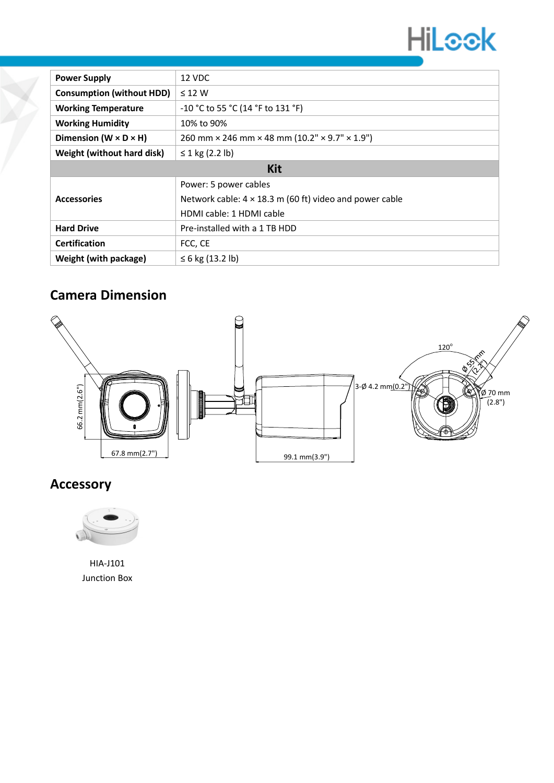

| <b>Power Supply</b>                 | 12 VDC                                                                    |  |  |
|-------------------------------------|---------------------------------------------------------------------------|--|--|
| <b>Consumption (without HDD)</b>    | $\leq$ 12 W                                                               |  |  |
| <b>Working Temperature</b>          | -10 °C to 55 °C (14 °F to 131 °F)                                         |  |  |
| <b>Working Humidity</b>             | 10% to 90%                                                                |  |  |
| Dimension ( $W \times D \times H$ ) | 260 mm $\times$ 246 mm $\times$ 48 mm (10.2" $\times$ 9.7" $\times$ 1.9") |  |  |
| Weight (without hard disk)          | ≤ 1 kg $(2.2 \text{ lb})$                                                 |  |  |
| <b>Kit</b>                          |                                                                           |  |  |
|                                     | Power: 5 power cables                                                     |  |  |
| <b>Accessories</b>                  | Network cable: $4 \times 18.3$ m (60 ft) video and power cable            |  |  |
|                                     | HDMI cable: 1 HDMI cable                                                  |  |  |
| <b>Hard Drive</b>                   | Pre-installed with a 1 TB HDD                                             |  |  |
| <b>Certification</b>                | FCC, CE                                                                   |  |  |
| Weight (with package)               | ≤ 6 kg (13.2 lb)                                                          |  |  |

### **Camera Dimension**



#### **Accessory**



HIA-J101 Junction Box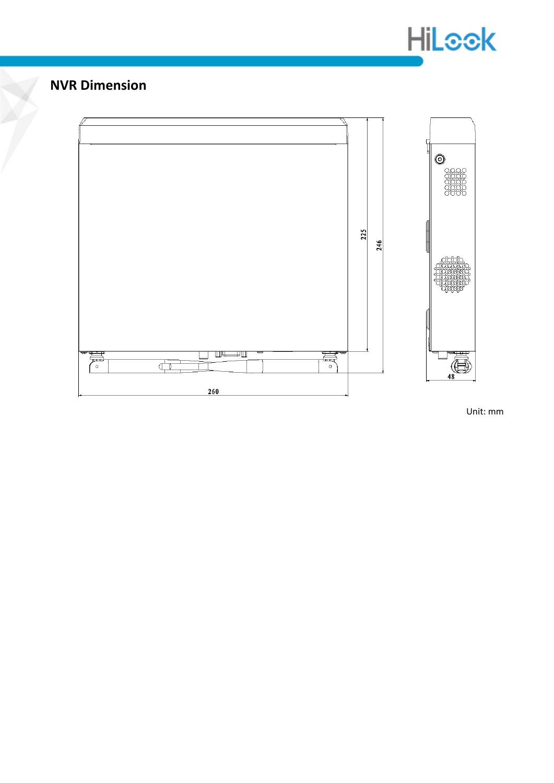

#### **NVR Dimension**



Unit: mm